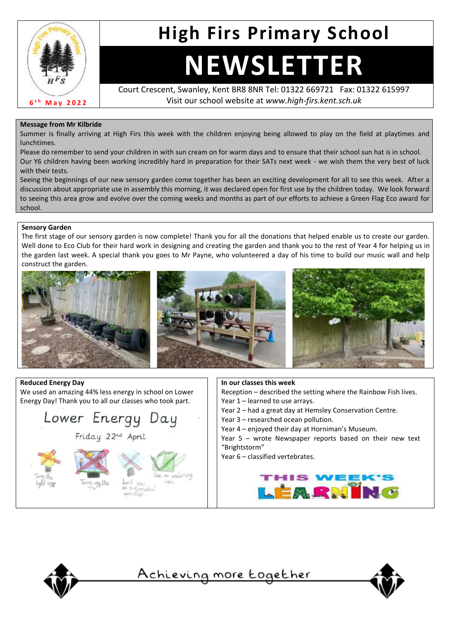

# **High Firs Primary School**

# **NEWSLETTER**

Court Crescent, Swanley, Kent BR8 8NR Tel: 01322 669721 Fax: 01322 615997 Visit our school website at *www.high-firs.kent.sch.uk*

### **Message from Mr Kilbride**

Summer is finally arriving at High Firs this week with the children enjoying being allowed to play on the field at playtimes and lunchtimes.

Please do remember to send your children in with sun cream on for warm days and to ensure that their school sun hat is in school. Our Y6 children having been working incredibly hard in preparation for their SATs next week - we wish them the very best of luck with their tests.

Seeing the beginnings of our new sensory garden come together has been an exciting development for all to see this week. After a discussion about appropriate use in assembly this morning, it was declared open for first use by the children today. We look forward to seeing this area grow and evolve over the coming weeks and months as part of our efforts to achieve a Green Flag Eco award for school.

### **Sensory Garden**

The first stage of our sensory garden is now complete! Thank you for all the donations that helped enable us to create our garden. Well done to Eco Club for their hard work in designing and creating the garden and thank you to the rest of Year 4 for helping us in the garden last week. A special thank you goes to Mr Payne, who volunteered a day of his time to build our music wall and help construct the garden.



### **Reduced Energy Day**

We used an amazing 44% less energy in school on Lower Energy Day! Thank you to all our classes who took part.



### **In our classes this week**

Reception – described the setting where the Rainbow Fish lives. Year 1 – learned to use arrays.

- Year 2 had a great day at Hemsley Conservation Centre.
- Year 3 researched ocean pollution.
- Year 4 enjoyed their day at Horniman's Museum.

Year 5 – wrote Newspaper reports based on their new text "Brightstorm"

Year 6 – classified vertebrates.





<u>Achieving more together</u>

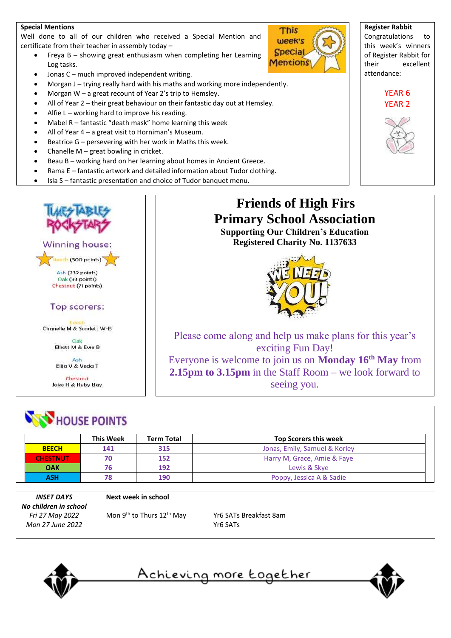### **Special Mentions**

Well done to all of our children who received a Special Mention and certificate from their teacher in assembly today –

- Freya B showing great enthusiasm when completing her Learning Log tasks.
- Jonas C much improved independent writing.
- Morgan J trying really hard with his maths and working more independently.
- Morgan W a great recount of Year 2's trip to Hemsley.
- All of Year 2 their great behaviour on their fantastic day out at Hemsley.
- Alfie  $L$  working hard to improve his reading.
- Mabel R fantastic "death mask" home learning this week
- All of Year 4 a great visit to Horniman's Museum.
- Beatrice  $G$  persevering with her work in Maths this week.
- Chanelle  $M$  great bowling in cricket.
- Beau B working hard on her learning about homes in Ancient Greece.
- Rama E fantastic artwork and detailed information about Tudor clothing.
- Isla S fantastic presentation and choice of Tudor banquet menu.



Chestnut Jake R & Ruby Bay

## **NOW HOUSE POINTS**

|                 | <b>This Week</b> | <b>Term Total</b> | <b>Top Scorers this week</b>  |
|-----------------|------------------|-------------------|-------------------------------|
| <b>BEECH</b>    | 141              | 315               | Jonas, Emily, Samuel & Korley |
| <b>CHESTNUT</b> | 70               | 152               | Harry M, Grace, Amie & Faye   |
| <b>OAK</b>      | 76               | 192               | Lewis & Skye                  |
| ASH             | 78               | 190               | Poppy, Jessica A & Sadie      |

*INSET DAYS No children in school Fri 27 May 2022 Mon 27 June 2022*

#### **Next week in school**

Mon 9<sup>th</sup> to Thurs 12<sup>th</sup> May Yr6 SATs Breakfast 8am

Yr6 SATs



<u>Achieving more together</u>



**Register Rabbit** Congratulations to this week's winners of Register Rabbit for their excellent attendance:

### YEAR 6 YEAR 2



### **Friends of High Firs Primary School Association Supporting Our Children's Education Registered Charity No. 1137633**

This week's **Special Mentions** 



Please come along and help us make plans for this year's exciting Fun Day! Everyone is welcome to join us on **Monday 16th May** from **2.15pm to 3.15pm** in the Staff Room – we look forward to seeing you.